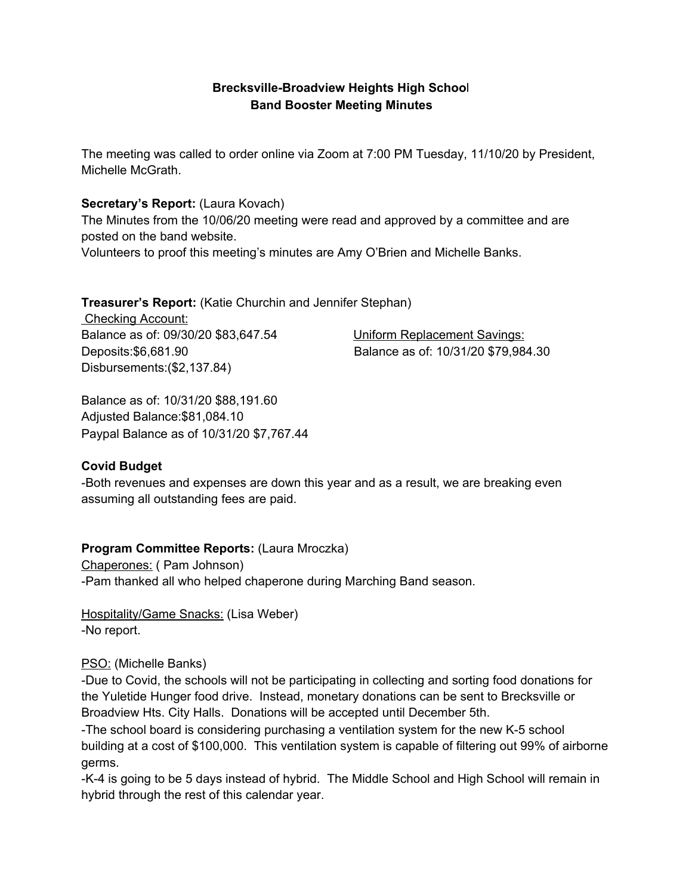# **Brecksville-Broadview Heights High Schoo**l **Band Booster Meeting Minutes**

The meeting was called to order online via Zoom at 7:00 PM Tuesday, 11/10/20 by President, Michelle McGrath.

#### **Secretary's Report:** (Laura Kovach)

The Minutes from the 10/06/20 meeting were read and approved by a committee and are posted on the band website. Volunteers to proof this meeting's minutes are Amy O'Brien and Michelle Banks.

**Treasurer's Report:** (Katie Churchin and Jennifer Stephan)

Checking Account: Balance as of: 09/30/20 \$83,647.54 Uniform Replacement Savings: Disbursements:(\$2,137.84)

Deposits:\$6,681.90 Balance as of: 10/31/20 \$79,984.30

Balance as of: 10/31/20 \$88,191.60 Adjusted Balance:\$81,084.10 Paypal Balance as of 10/31/20 \$7,767.44

# **Covid Budget**

-Both revenues and expenses are down this year and as a result, we are breaking even assuming all outstanding fees are paid.

# **Program Committee Reports:** (Laura Mroczka)

Chaperones: ( Pam Johnson) -Pam thanked all who helped chaperone during Marching Band season.

Hospitality/Game Snacks: (Lisa Weber) -No report.

# PSO: (Michelle Banks)

-Due to Covid, the schools will not be participating in collecting and sorting food donations for the Yuletide Hunger food drive. Instead, monetary donations can be sent to Brecksville or Broadview Hts. City Halls. Donations will be accepted until December 5th.

-The school board is considering purchasing a ventilation system for the new K-5 school building at a cost of \$100,000. This ventilation system is capable of filtering out 99% of airborne germs.

-K-4 is going to be 5 days instead of hybrid. The Middle School and High School will remain in hybrid through the rest of this calendar year.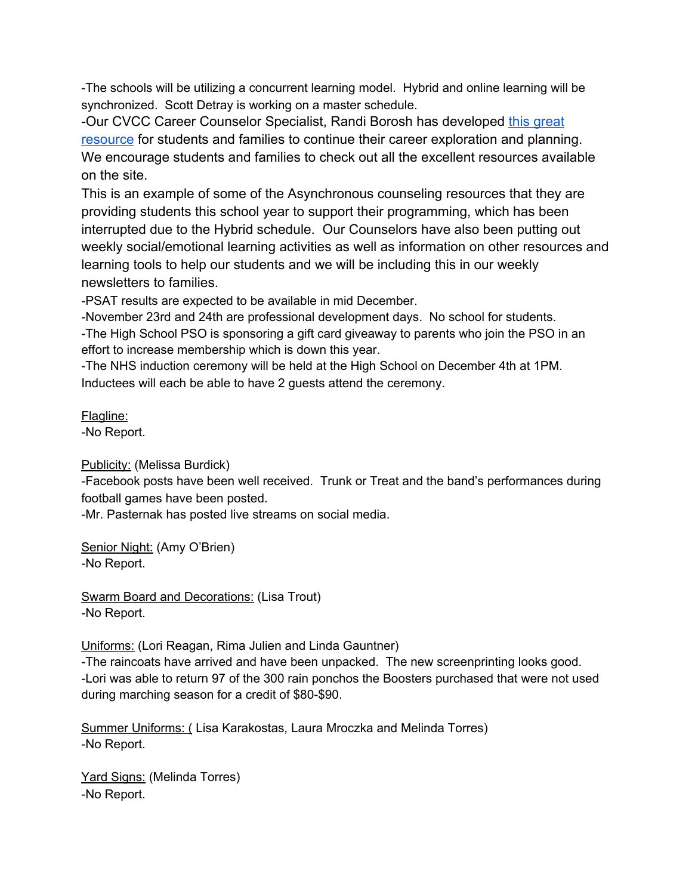-The schools will be utilizing a concurrent learning model. Hybrid and online learning will be synchronized. Scott Detray is working on a master schedule.

-Our CVCC Career Counselor Specialist, Randi Borosh has developed [this great](https://sites.google.com/bbhcsd.org/careerresources/home) [resource](https://sites.google.com/bbhcsd.org/careerresources/home) for students and families to continue their career exploration and planning. We encourage students and families to check out all the excellent resources available on the site.

This is an example of some of the Asynchronous counseling resources that they are providing students this school year to support their programming, which has been interrupted due to the Hybrid schedule. Our Counselors have also been putting out weekly social/emotional learning activities as well as information on other resources and learning tools to help our students and we will be including this in our weekly newsletters to families.

-PSAT results are expected to be available in mid December.

-November 23rd and 24th are professional development days. No school for students. -The High School PSO is sponsoring a gift card giveaway to parents who join the PSO in an effort to increase membership which is down this year.

-The NHS induction ceremony will be held at the High School on December 4th at 1PM. Inductees will each be able to have 2 guests attend the ceremony.

# Flagline:

-No Report.

Publicity: (Melissa Burdick)

-Facebook posts have been well received. Trunk or Treat and the band's performances during football games have been posted.

-Mr. Pasternak has posted live streams on social media.

Senior Night: (Amy O'Brien) -No Report.

Swarm Board and Decorations: (Lisa Trout) -No Report.

Uniforms: (Lori Reagan, Rima Julien and Linda Gauntner)

-The raincoats have arrived and have been unpacked. The new screenprinting looks good. -Lori was able to return 97 of the 300 rain ponchos the Boosters purchased that were not used during marching season for a credit of \$80-\$90.

Summer Uniforms: ( Lisa Karakostas, Laura Mroczka and Melinda Torres) -No Report.

Yard Signs: (Melinda Torres) -No Report.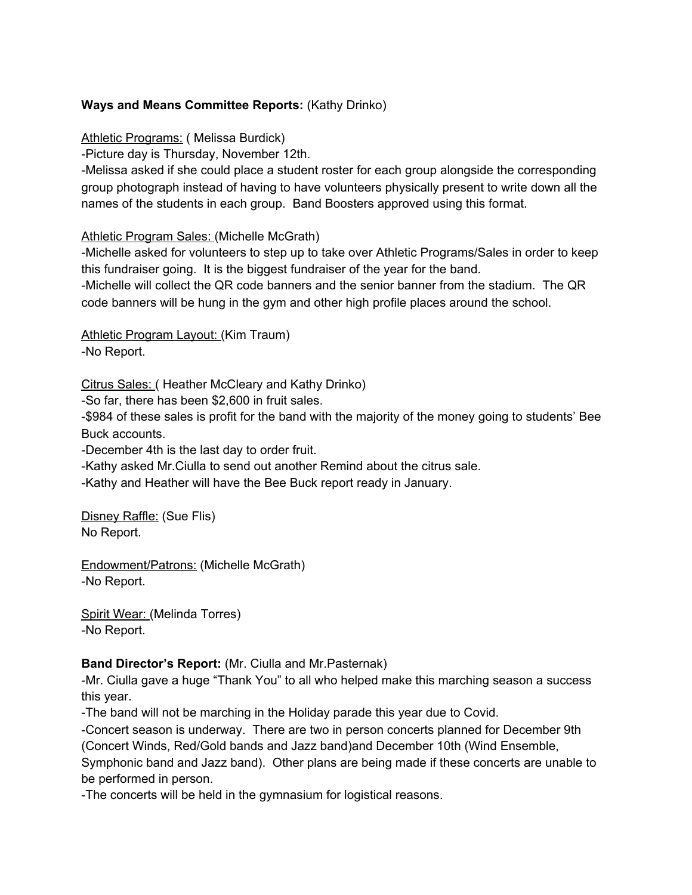# **Ways and Means Committee Reports:** (Kathy Drinko)

Athletic Programs: ( Melissa Burdick)

-Picture day is Thursday, November 12th.

-Melissa asked if she could place a student roster for each group alongside the corresponding group photograph instead of having to have volunteers physically present to write down all the names of the students in each group. Band Boosters approved using this format.

#### Athletic Program Sales: (Michelle McGrath)

-Michelle asked for volunteers to step up to take over Athletic Programs/Sales in order to keep this fundraiser going. It is the biggest fundraiser of the year for the band.

-Michelle will collect the QR code banners and the senior banner from the stadium. The QR code banners will be hung in the gym and other high profile places around the school.

Athletic Program Layout: (Kim Traum) -No Report.

Citrus Sales: ( Heather McCleary and Kathy Drinko)

-So far, there has been \$2,600 in fruit sales.

-\$984 of these sales is profit for the band with the majority of the money going to students' Bee Buck accounts.

-December 4th is the last day to order fruit.

-Kathy asked Mr.Ciulla to send out another Remind about the citrus sale.

-Kathy and Heather will have the Bee Buck report ready in January.

Disney Raffle: (Sue Flis) No Report.

Endowment/Patrons: (Michelle McGrath) -No Report.

Spirit Wear: (Melinda Torres) -No Report.

# **Band Director's Report:** (Mr. Ciulla and Mr.Pasternak)

-Mr. Ciulla gave a huge "Thank You" to all who helped make this marching season a success this year.

-The band will not be marching in the Holiday parade this year due to Covid.

-Concert season is underway. There are two in person concerts planned for December 9th (Concert Winds, Red/Gold bands and Jazz band)and December 10th (Wind Ensemble,

Symphonic band and Jazz band). Other plans are being made if these concerts are unable to be performed in person.

-The concerts will be held in the gymnasium for logistical reasons.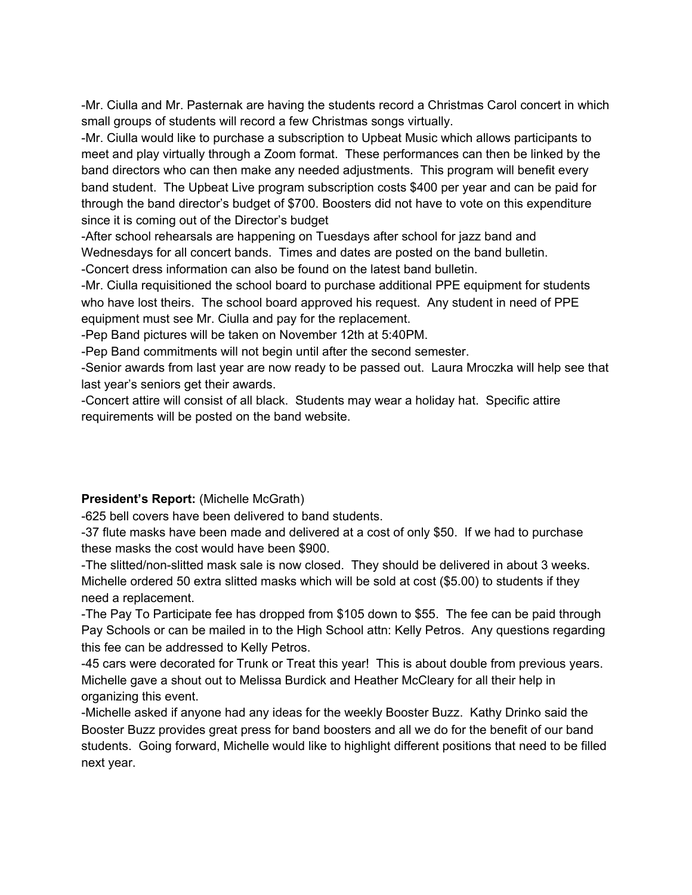-Mr. Ciulla and Mr. Pasternak are having the students record a Christmas Carol concert in which small groups of students will record a few Christmas songs virtually.

-Mr. Ciulla would like to purchase a subscription to Upbeat Music which allows participants to meet and play virtually through a Zoom format. These performances can then be linked by the band directors who can then make any needed adjustments. This program will benefit every band student. The Upbeat Live program subscription costs \$400 per year and can be paid for through the band director's budget of \$700. Boosters did not have to vote on this expenditure since it is coming out of the Director's budget

-After school rehearsals are happening on Tuesdays after school for jazz band and Wednesdays for all concert bands. Times and dates are posted on the band bulletin.

-Concert dress information can also be found on the latest band bulletin.

-Mr. Ciulla requisitioned the school board to purchase additional PPE equipment for students who have lost theirs. The school board approved his request. Any student in need of PPE equipment must see Mr. Ciulla and pay for the replacement.

-Pep Band pictures will be taken on November 12th at 5:40PM.

-Pep Band commitments will not begin until after the second semester.

-Senior awards from last year are now ready to be passed out. Laura Mroczka will help see that last year's seniors get their awards.

-Concert attire will consist of all black. Students may wear a holiday hat. Specific attire requirements will be posted on the band website.

# **President's Report:** (Michelle McGrath)

-625 bell covers have been delivered to band students.

-37 flute masks have been made and delivered at a cost of only \$50. If we had to purchase these masks the cost would have been \$900.

-The slitted/non-slitted mask sale is now closed. They should be delivered in about 3 weeks. Michelle ordered 50 extra slitted masks which will be sold at cost (\$5.00) to students if they need a replacement.

-The Pay To Participate fee has dropped from \$105 down to \$55. The fee can be paid through Pay Schools or can be mailed in to the High School attn: Kelly Petros. Any questions regarding this fee can be addressed to Kelly Petros.

-45 cars were decorated for Trunk or Treat this year! This is about double from previous years. Michelle gave a shout out to Melissa Burdick and Heather McCleary for all their help in organizing this event.

-Michelle asked if anyone had any ideas for the weekly Booster Buzz. Kathy Drinko said the Booster Buzz provides great press for band boosters and all we do for the benefit of our band students. Going forward, Michelle would like to highlight different positions that need to be filled next year.